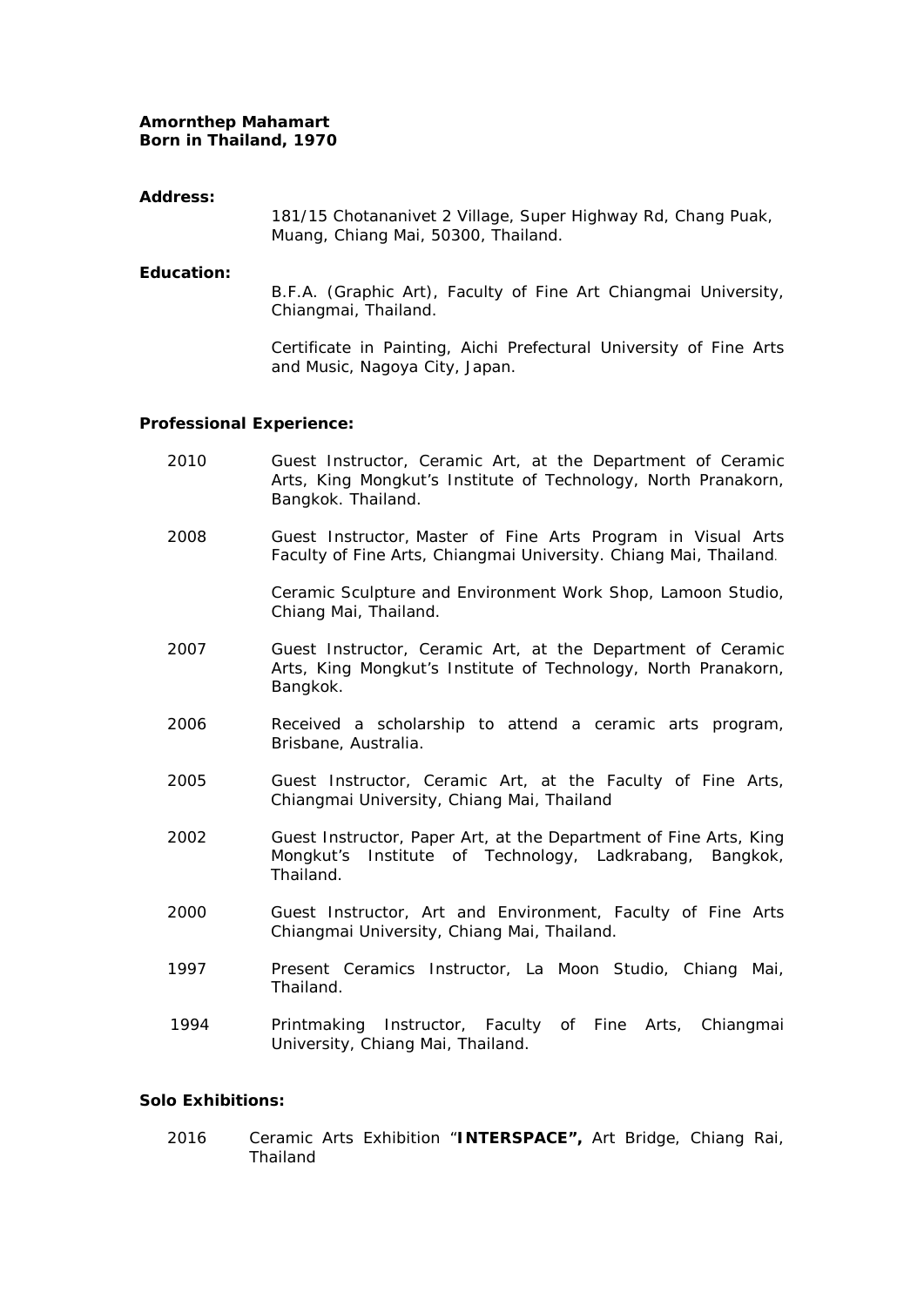# **Amornthep Mahamart Born in Thailand, 1970**

# **Address:**

181/15 Chotananivet 2 Village, Super Highway Rd, Chang Puak, Muang, Chiang Mai, 50300, Thailand.

### **Education:**

B.F.A. (Graphic Art), Faculty of Fine Art Chiangmai University, Chiangmai, Thailand.

Certificate in Painting, Aichi Prefectural University of Fine Arts and Music, Nagoya City, Japan.

# **Professional Experience:**

- 2010 Guest Instructor, Ceramic Art, at the Department of Ceramic Arts, King Mongkut's Institute of Technology, North Pranakorn, Bangkok. Thailand.
- 2008 Guest Instructor, Master of Fine Arts Program in Visual Arts Faculty of Fine Arts, Chiangmai University. Chiang Mai, Thailand.

Ceramic Sculpture and Environment Work Shop, Lamoon Studio, Chiang Mai, Thailand.

- 2007 Guest Instructor, Ceramic Art, at the Department of Ceramic Arts, King Mongkut's Institute of Technology, North Pranakorn, Bangkok.
- 2006 Received a scholarship to attend a ceramic arts program, Brisbane, Australia.
- 2005 Guest Instructor, Ceramic Art, at the Faculty of Fine Arts, Chiangmai University, Chiang Mai, Thailand
- 2002 Guest Instructor, Paper Art, at the Department of Fine Arts, King Mongkut's Institute of Technology, Ladkrabang, Bangkok, Thailand.
- 2000 Guest Instructor, Art and Environment, Faculty of Fine Arts Chiangmai University, Chiang Mai, Thailand.
- 1997 Present Ceramics Instructor, La Moon Studio, Chiang Mai, Thailand.
- 1994 Printmaking Instructor, Faculty of Fine Arts, Chiangmai University, Chiang Mai, Thailand.

# **Solo Exhibitions:**

2016 Ceramic Arts Exhibition "**INTERSPACE",** Art Bridge, Chiang Rai, Thailand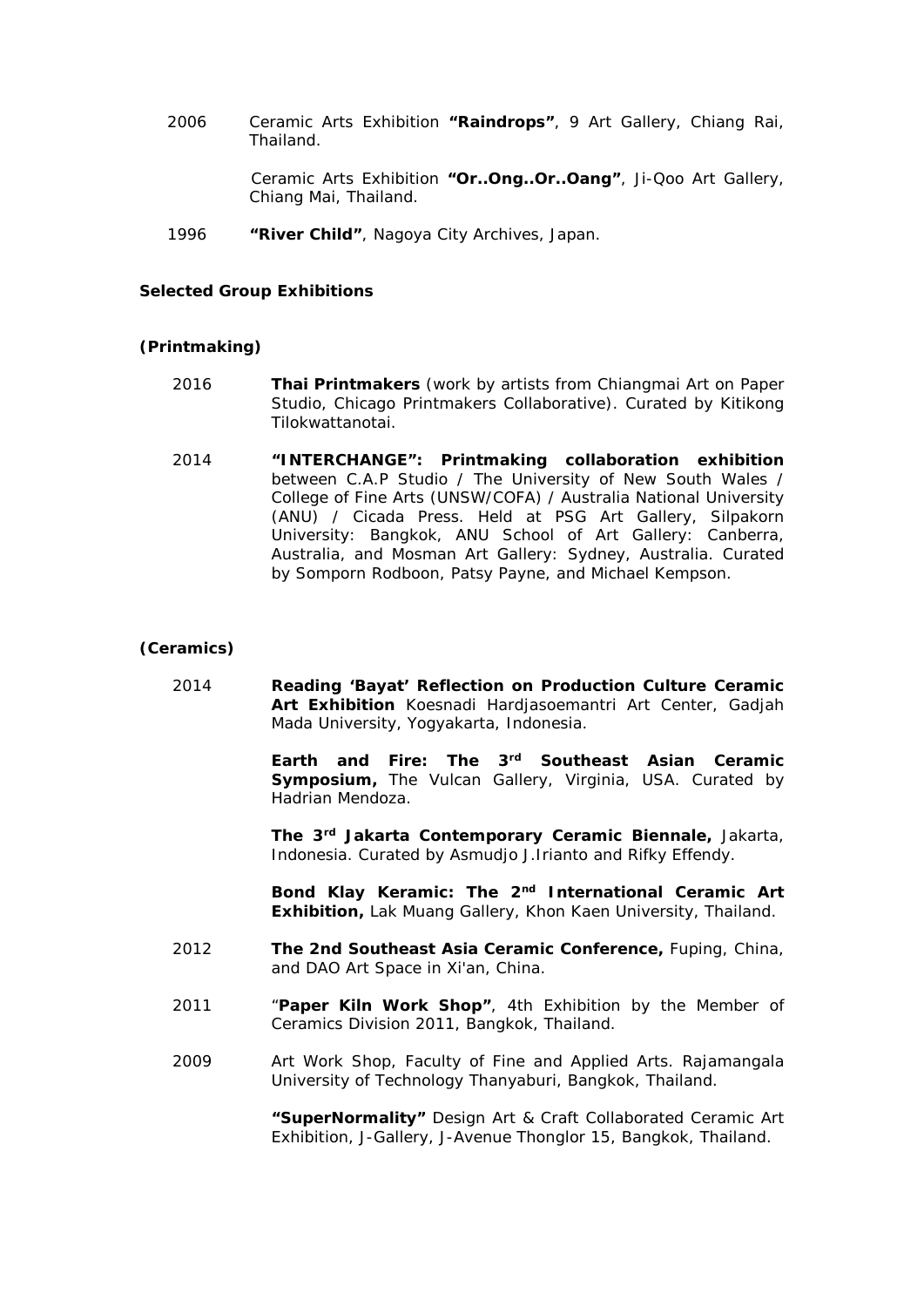2006 Ceramic Arts Exhibition **"Raindrops"**, 9 Art Gallery, Chiang Rai, Thailand.

> Ceramic Arts Exhibition **"Or..Ong..Or..Oang"**, Ji-Qoo Art Gallery, Chiang Mai, Thailand.

1996 **"River Child"**, Nagoya City Archives, Japan.

# **Selected Group Exhibitions**

### **(Printmaking)**

- 2016 **Thai Printmakers** (work by artists from Chiangmai Art on Paper Studio, Chicago Printmakers Collaborative). Curated by Kitikong Tilokwattanotai.
- 2014 **"INTERCHANGE": Printmaking collaboration exhibition** between C.A.P Studio / The University of New South Wales / College of Fine Arts (UNSW/COFA) / Australia National University (ANU) / Cicada Press. Held at PSG Art Gallery, Silpakorn University: Bangkok, ANU School of Art Gallery: Canberra, Australia, and Mosman Art Gallery: Sydney, Australia. Curated by Somporn Rodboon, Patsy Payne, and Michael Kempson.

### **(Ceramics)**

2014 **Reading 'Bayat' Reflection on Production Culture Ceramic Art Exhibition** Koesnadi Hardjasoemantri Art Center, Gadjah Mada University, Yogyakarta, Indonesia.

> **Earth and Fire: The 3rd Southeast Asian Ceramic Symposium,** The Vulcan Gallery, Virginia, USA. Curated by Hadrian Mendoza.

> **The 3rd Jakarta Contemporary Ceramic Biennale,** Jakarta, Indonesia. Curated by Asmudjo J.Irianto and Rifky Effendy.

> **Bond Klay Keramic: The 2nd International Ceramic Art Exhibition,** Lak Muang Gallery, Khon Kaen University, Thailand.

- 2012 **The 2nd Southeast Asia Ceramic Conference,** Fuping, China, and DAO Art Space in Xi'an, China.
- 2011 "**Paper Kiln Work Shop"**, 4th Exhibition by the Member of Ceramics Division 2011, Bangkok, Thailand.
- 2009 Art Work Shop, Faculty of Fine and Applied Arts. Rajamangala University of Technology Thanyaburi, Bangkok, Thailand.

**"SuperNormality"** Design Art & Craft Collaborated Ceramic Art Exhibition, J-Gallery, J-Avenue Thonglor 15, Bangkok, Thailand.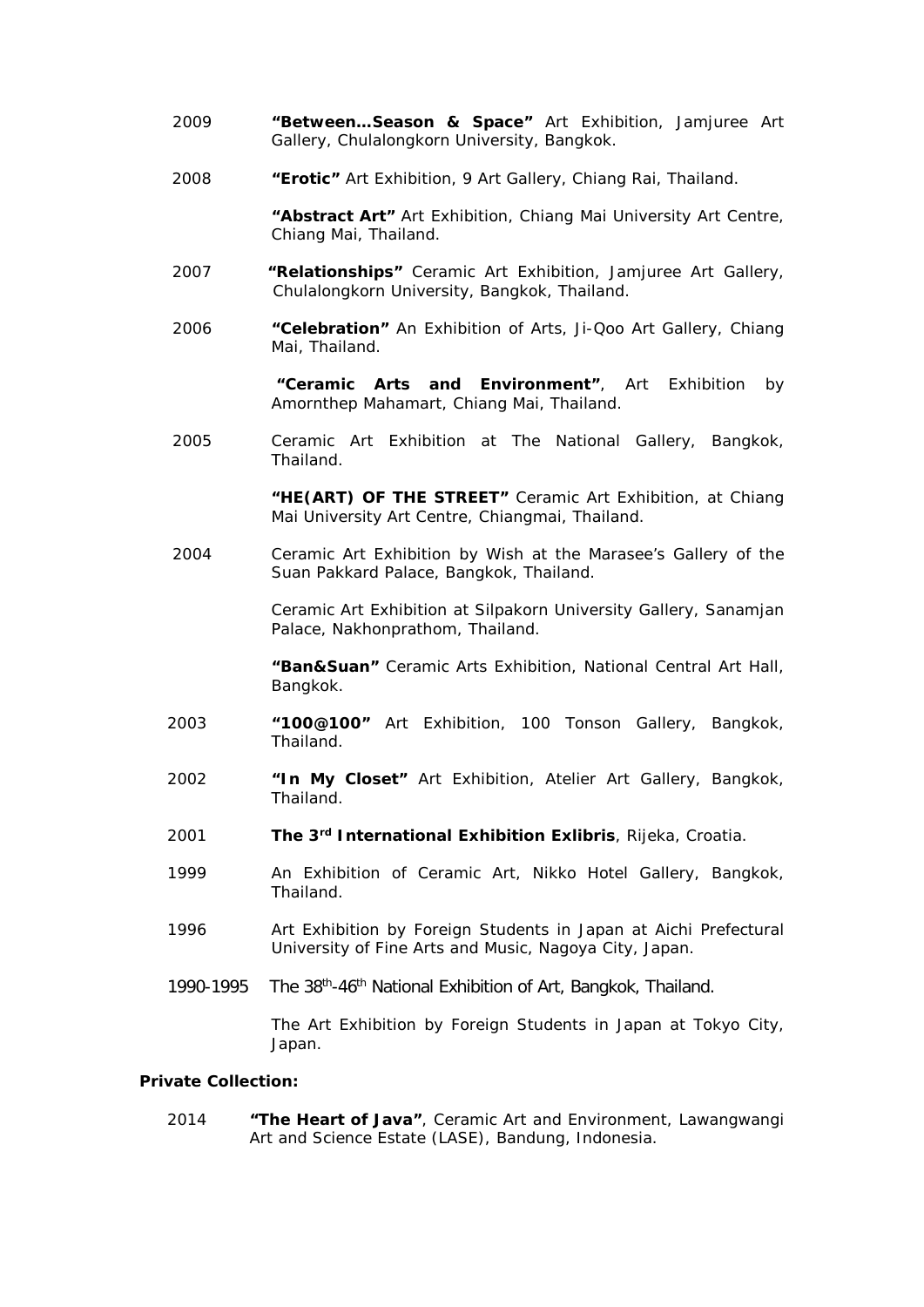- 2009 **"Between…Season & Space"** Art Exhibition, Jamjuree Art Gallery, Chulalongkorn University, Bangkok.
- 2008 **"Erotic"** Art Exhibition, 9 Art Gallery, Chiang Rai, Thailand.

**"Abstract Art"** Art Exhibition, Chiang Mai University Art Centre, Chiang Mai, Thailand.

- 2007 **"Relationships"** Ceramic Art Exhibition, Jamjuree Art Gallery, Chulalongkorn University, Bangkok, Thailand.
- 2006 **"Celebration"** An Exhibition of Arts, Ji-Qoo Art Gallery, Chiang Mai, Thailand.

**"Ceramic Arts and Environment"**, Art Exhibition by Amornthep Mahamart, Chiang Mai, Thailand.

2005 Ceramic Art Exhibition at The National Gallery, Bangkok, Thailand.

> **"HE(ART) OF THE STREET"** Ceramic Art Exhibition, at Chiang Mai University Art Centre, Chiangmai, Thailand.

2004 Ceramic Art Exhibition by Wish at the Marasee's Gallery of the Suan Pakkard Palace, Bangkok, Thailand.

> Ceramic Art Exhibition at Silpakorn University Gallery, Sanamjan Palace, Nakhonprathom, Thailand.

> **"Ban&Suan"** Ceramic Arts Exhibition, National Central Art Hall, Bangkok.

- 2003 **"100@100"** Art Exhibition, 100 Tonson Gallery, Bangkok, Thailand.
- 2002 **"In My Closet"** Art Exhibition, Atelier Art Gallery, Bangkok, Thailand.
- 2001 **The 3rd International Exhibition Exlibris**, Rijeka, Croatia.
- 1999 An Exhibition of Ceramic Art, Nikko Hotel Gallery, Bangkok, Thailand.
- 1996 Art Exhibition by Foreign Students in Japan at Aichi Prefectural University of Fine Arts and Music, Nagoya City, Japan.
- 1990-1995 The 38<sup>th</sup>-46<sup>th</sup> National Exhibition of Art, Bangkok, Thailand.

The Art Exhibition by Foreign Students in Japan at Tokyo City, Japan.

# **Private Collection:**

2014 **"The Heart of Java"**, Ceramic Art and Environment, Lawangwangi Art and Science Estate (LASE), Bandung, Indonesia.